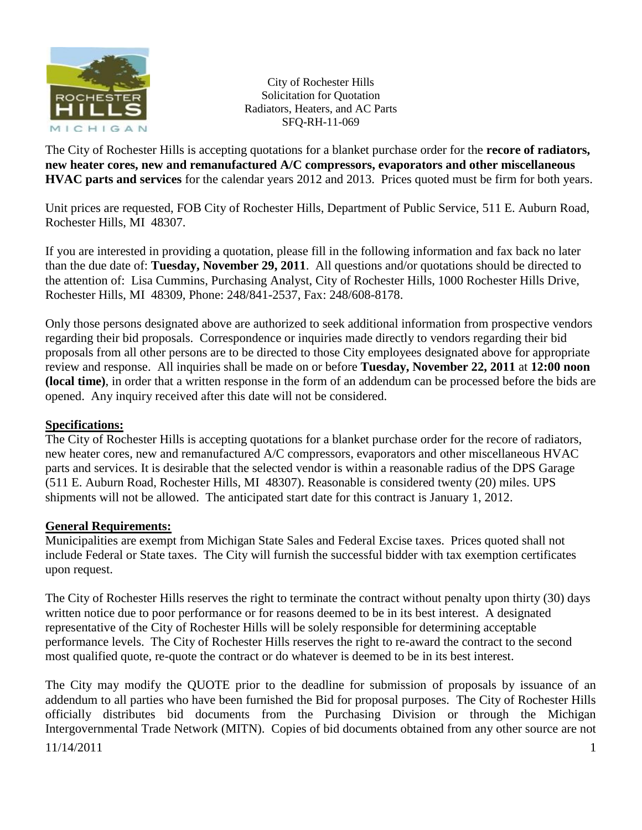

The City of Rochester Hills is accepting quotations for a blanket purchase order for the **recore of radiators, new heater cores, new and remanufactured A/C compressors, evaporators and other miscellaneous HVAC parts and services** for the calendar years 2012 and 2013. Prices quoted must be firm for both years.

Unit prices are requested, FOB City of Rochester Hills, Department of Public Service, 511 E. Auburn Road, Rochester Hills, MI 48307.

If you are interested in providing a quotation, please fill in the following information and fax back no later than the due date of: **Tuesday, November 29, 2011**. All questions and/or quotations should be directed to the attention of: Lisa Cummins, Purchasing Analyst, City of Rochester Hills, 1000 Rochester Hills Drive, Rochester Hills, MI 48309, Phone: 248/841-2537, Fax: 248/608-8178.

Only those persons designated above are authorized to seek additional information from prospective vendors regarding their bid proposals. Correspondence or inquiries made directly to vendors regarding their bid proposals from all other persons are to be directed to those City employees designated above for appropriate review and response. All inquiries shall be made on or before **Tuesday, November 22, 2011** at **12:00 noon (local time)**, in order that a written response in the form of an addendum can be processed before the bids are opened. Any inquiry received after this date will not be considered.

## **Specifications:**

The City of Rochester Hills is accepting quotations for a blanket purchase order for the recore of radiators, new heater cores, new and remanufactured A/C compressors, evaporators and other miscellaneous HVAC parts and services. It is desirable that the selected vendor is within a reasonable radius of the DPS Garage (511 E. Auburn Road, Rochester Hills, MI 48307). Reasonable is considered twenty (20) miles. UPS shipments will not be allowed. The anticipated start date for this contract is January 1, 2012.

#### **General Requirements:**

Municipalities are exempt from Michigan State Sales and Federal Excise taxes. Prices quoted shall not include Federal or State taxes. The City will furnish the successful bidder with tax exemption certificates upon request.

The City of Rochester Hills reserves the right to terminate the contract without penalty upon thirty (30) days written notice due to poor performance or for reasons deemed to be in its best interest. A designated representative of the City of Rochester Hills will be solely responsible for determining acceptable performance levels. The City of Rochester Hills reserves the right to re-award the contract to the second most qualified quote, re-quote the contract or do whatever is deemed to be in its best interest.

11/14/2011 1 The City may modify the QUOTE prior to the deadline for submission of proposals by issuance of an addendum to all parties who have been furnished the Bid for proposal purposes. The City of Rochester Hills officially distributes bid documents from the Purchasing Division or through the Michigan Intergovernmental Trade Network (MITN). Copies of bid documents obtained from any other source are not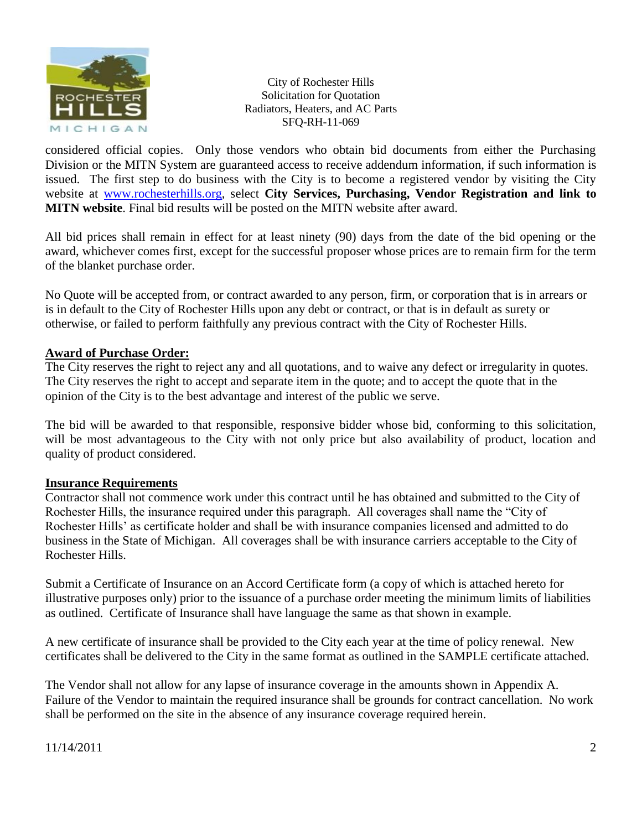

considered official copies. Only those vendors who obtain bid documents from either the Purchasing Division or the MITN System are guaranteed access to receive addendum information, if such information is issued. The first step to do business with the City is to become a registered vendor by visiting the City website at [www.rochesterhills.org,](http://www.rochesterhills.org/) select **City Services, Purchasing, Vendor Registration and link to MITN website**. Final bid results will be posted on the MITN website after award.

All bid prices shall remain in effect for at least ninety (90) days from the date of the bid opening or the award, whichever comes first, except for the successful proposer whose prices are to remain firm for the term of the blanket purchase order.

No Quote will be accepted from, or contract awarded to any person, firm, or corporation that is in arrears or is in default to the City of Rochester Hills upon any debt or contract, or that is in default as surety or otherwise, or failed to perform faithfully any previous contract with the City of Rochester Hills.

### **Award of Purchase Order:**

The City reserves the right to reject any and all quotations, and to waive any defect or irregularity in quotes. The City reserves the right to accept and separate item in the quote; and to accept the quote that in the opinion of the City is to the best advantage and interest of the public we serve.

The bid will be awarded to that responsible, responsive bidder whose bid, conforming to this solicitation, will be most advantageous to the City with not only price but also availability of product, location and quality of product considered.

#### **Insurance Requirements**

Contractor shall not commence work under this contract until he has obtained and submitted to the City of Rochester Hills, the insurance required under this paragraph. All coverages shall name the "City of Rochester Hills' as certificate holder and shall be with insurance companies licensed and admitted to do business in the State of Michigan. All coverages shall be with insurance carriers acceptable to the City of Rochester Hills.

Submit a Certificate of Insurance on an Accord Certificate form (a copy of which is attached hereto for illustrative purposes only) prior to the issuance of a purchase order meeting the minimum limits of liabilities as outlined. Certificate of Insurance shall have language the same as that shown in example.

A new certificate of insurance shall be provided to the City each year at the time of policy renewal. New certificates shall be delivered to the City in the same format as outlined in the SAMPLE certificate attached.

The Vendor shall not allow for any lapse of insurance coverage in the amounts shown in Appendix A. Failure of the Vendor to maintain the required insurance shall be grounds for contract cancellation. No work shall be performed on the site in the absence of any insurance coverage required herein.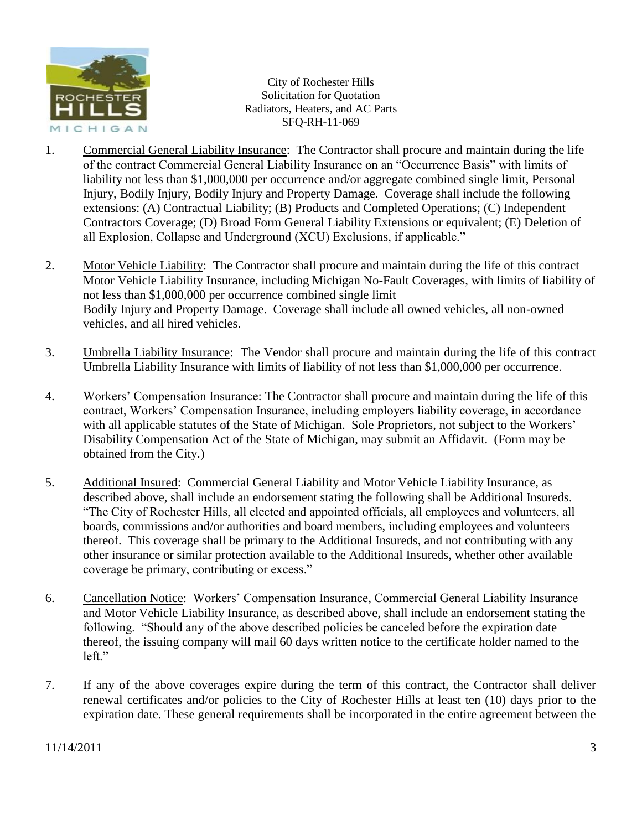

- 1. Commercial General Liability Insurance: The Contractor shall procure and maintain during the life of the contract Commercial General Liability Insurance on an "Occurrence Basis" with limits of liability not less than \$1,000,000 per occurrence and/or aggregate combined single limit, Personal Injury, Bodily Injury, Bodily Injury and Property Damage. Coverage shall include the following extensions: (A) Contractual Liability; (B) Products and Completed Operations; (C) Independent Contractors Coverage; (D) Broad Form General Liability Extensions or equivalent; (E) Deletion of all Explosion, Collapse and Underground (XCU) Exclusions, if applicable."
- 2. Motor Vehicle Liability: The Contractor shall procure and maintain during the life of this contract Motor Vehicle Liability Insurance, including Michigan No-Fault Coverages, with limits of liability of not less than \$1,000,000 per occurrence combined single limit Bodily Injury and Property Damage. Coverage shall include all owned vehicles, all non-owned vehicles, and all hired vehicles.
- 3. Umbrella Liability Insurance: The Vendor shall procure and maintain during the life of this contract Umbrella Liability Insurance with limits of liability of not less than \$1,000,000 per occurrence.
- 4. Workers' Compensation Insurance: The Contractor shall procure and maintain during the life of this contract, Workers' Compensation Insurance, including employers liability coverage, in accordance with all applicable statutes of the State of Michigan. Sole Proprietors, not subject to the Workers' Disability Compensation Act of the State of Michigan, may submit an Affidavit. (Form may be obtained from the City.)
- 5. Additional Insured: Commercial General Liability and Motor Vehicle Liability Insurance, as described above, shall include an endorsement stating the following shall be Additional Insureds. "The City of Rochester Hills, all elected and appointed officials, all employees and volunteers, all boards, commissions and/or authorities and board members, including employees and volunteers thereof. This coverage shall be primary to the Additional Insureds, and not contributing with any other insurance or similar protection available to the Additional Insureds, whether other available coverage be primary, contributing or excess."
- 6. Cancellation Notice: Workers' Compensation Insurance, Commercial General Liability Insurance and Motor Vehicle Liability Insurance, as described above, shall include an endorsement stating the following. "Should any of the above described policies be canceled before the expiration date thereof, the issuing company will mail 60 days written notice to the certificate holder named to the left."
- 7. If any of the above coverages expire during the term of this contract, the Contractor shall deliver renewal certificates and/or policies to the City of Rochester Hills at least ten (10) days prior to the expiration date. These general requirements shall be incorporated in the entire agreement between the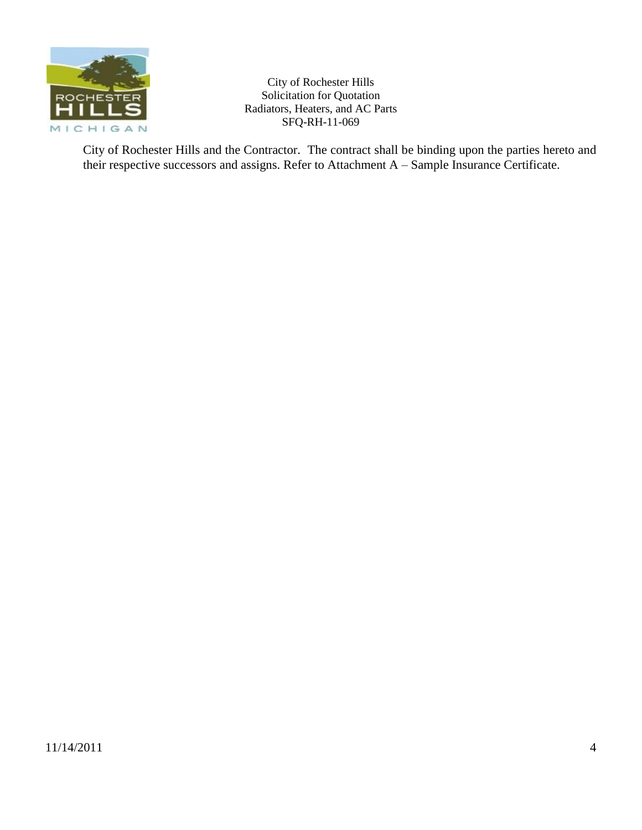

City of Rochester Hills and the Contractor. The contract shall be binding upon the parties hereto and their respective successors and assigns. Refer to Attachment A – Sample Insurance Certificate.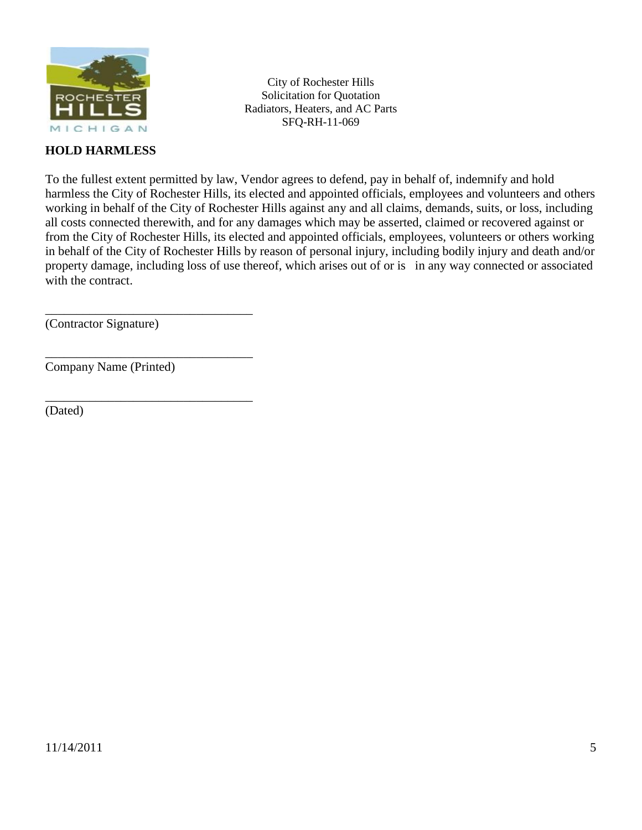

# **HOLD HARMLESS**

City of Rochester Hills Solicitation for Quotation Radiators, Heaters, and AC Parts SFQ-RH-11-069

To the fullest extent permitted by law, Vendor agrees to defend, pay in behalf of, indemnify and hold harmless the City of Rochester Hills, its elected and appointed officials, employees and volunteers and others working in behalf of the City of Rochester Hills against any and all claims, demands, suits, or loss, including all costs connected therewith, and for any damages which may be asserted, claimed or recovered against or from the City of Rochester Hills, its elected and appointed officials, employees, volunteers or others working in behalf of the City of Rochester Hills by reason of personal injury, including bodily injury and death and/or property damage, including loss of use thereof, which arises out of or is in any way connected or associated with the contract.

(Contractor Signature)

\_\_\_\_\_\_\_\_\_\_\_\_\_\_\_\_\_\_\_\_\_\_\_\_\_\_\_\_\_\_\_\_\_

\_\_\_\_\_\_\_\_\_\_\_\_\_\_\_\_\_\_\_\_\_\_\_\_\_\_\_\_\_\_\_\_\_

\_\_\_\_\_\_\_\_\_\_\_\_\_\_\_\_\_\_\_\_\_\_\_\_\_\_\_\_\_\_\_\_\_

Company Name (Printed)

(Dated)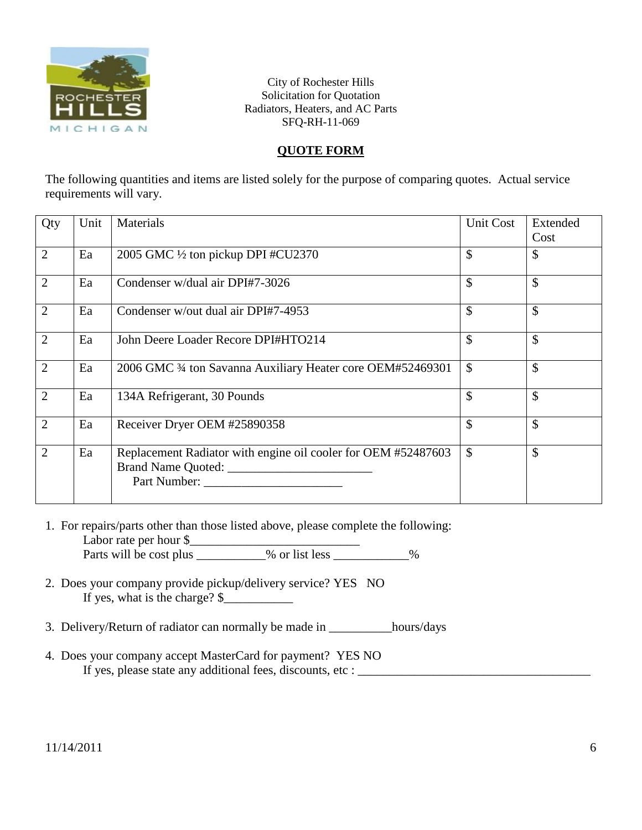

# **QUOTE FORM**

The following quantities and items are listed solely for the purpose of comparing quotes. Actual service requirements will vary.

| Qty            | Unit | Materials                                                                                           | Unit Cost     | Extended |
|----------------|------|-----------------------------------------------------------------------------------------------------|---------------|----------|
|                |      |                                                                                                     |               | Cost     |
| $\overline{2}$ | Ea   | 2005 GMC 1/2 ton pickup DPI #CU2370                                                                 | $\mathcal{S}$ | \$       |
| $\overline{2}$ | Ea   | Condenser w/dual air DPI#7-3026                                                                     | \$            | \$       |
| $\overline{2}$ | Ea   | Condenser w/out dual air DPI#7-4953                                                                 | $\mathcal{S}$ | \$       |
| $\overline{2}$ | Ea   | John Deere Loader Recore DPI#HTO214                                                                 | $\mathcal{S}$ | \$       |
| $\overline{2}$ | Ea   | 2006 GMC 34 ton Savanna Auxiliary Heater core OEM#52469301                                          | $\mathcal{S}$ | \$       |
| $\overline{2}$ | Ea   | 134A Refrigerant, 30 Pounds                                                                         | \$            | \$       |
| $\overline{2}$ | Ea   | Receiver Dryer OEM #25890358                                                                        | \$            | \$       |
| 2              | Ea   | Replacement Radiator with engine oil cooler for OEM #52487603<br>Brand Name Quoted:<br>Part Number: | $\mathcal{S}$ | \$       |

- 1. For repairs/parts other than those listed above, please complete the following: Labor rate per hour \$\_\_\_\_\_\_\_\_\_\_\_\_\_\_\_\_\_\_\_\_\_\_\_\_\_\_\_ Parts will be cost plus \_\_\_\_\_\_\_\_\_% or list less \_\_\_\_\_\_\_\_\_\_%
- 2. Does your company provide pickup/delivery service? YES NO If yes, what is the charge?  $\frac{1}{2}$
- 3. Delivery/Return of radiator can normally be made in \_\_\_\_\_\_\_\_\_\_hours/days
- 4. Does your company accept MasterCard for payment? YES NO If yes, please state any additional fees, discounts, etc : \_\_\_\_\_\_\_\_\_\_\_\_\_\_\_\_\_\_\_\_\_\_